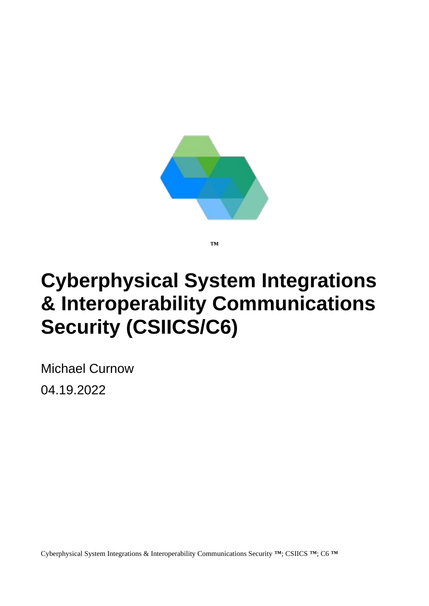

**™**

# **Cyberphysical System Integrations & Interoperability Communications Security (CSIICS/C6)**

Michael Curnow 04.19.2022

Cyberphysical System Integrations & Interoperability Communications Security **™**; CSIICS **™**; C6 **™**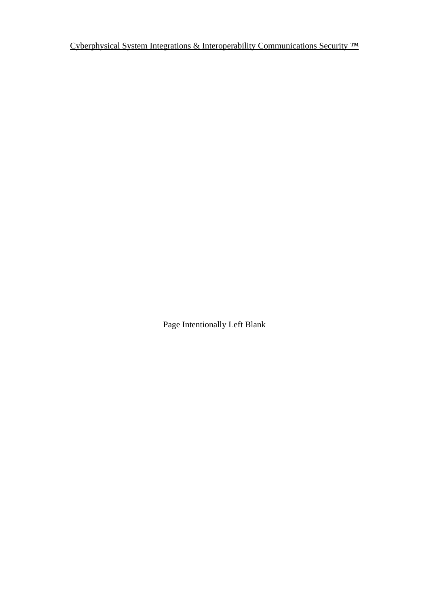Page Intentionally Left Blank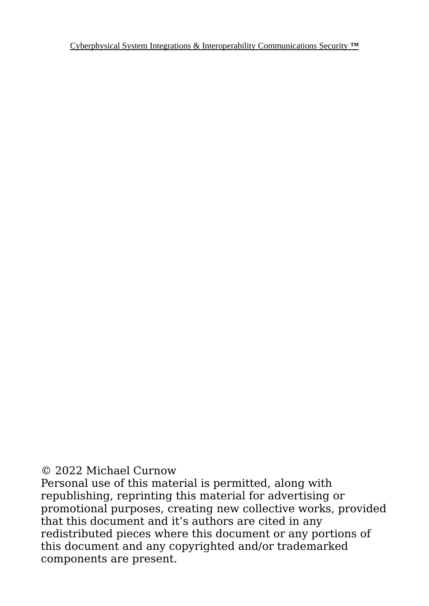#### © 2022 Michael Curnow

Personal use of this material is permitted, along with republishing, reprinting this material for advertising or promotional purposes, creating new collective works, provided that this document and it's authors are cited in any redistributed pieces where this document or any portions of this document and any copyrighted and/or trademarked components are present.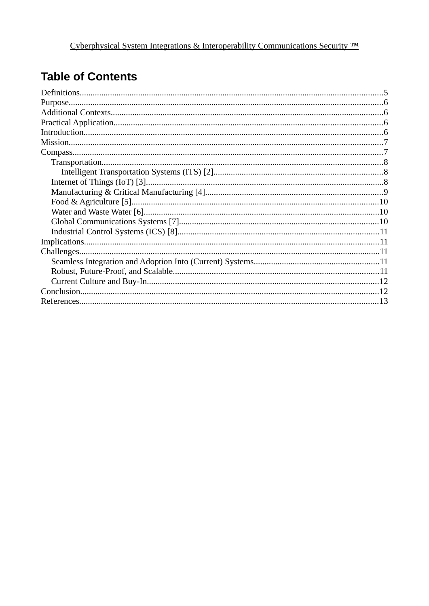### **Table of Contents**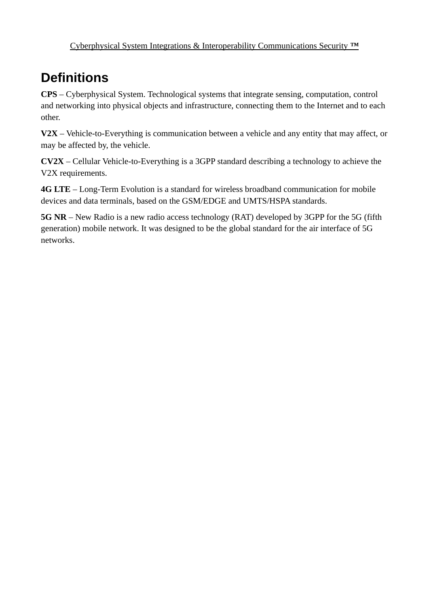# <span id="page-4-0"></span>**Definitions**

**CPS** – Cyberphysical System. Technological systems that integrate sensing, computation, control and networking into physical objects and infrastructure, connecting them to the Internet and to each other.

**V2X** – Vehicle-to-Everything is communication between a vehicle and any entity that may affect, or may be affected by, the vehicle.

**CV2X** – Cellular Vehicle-to-Everything is a 3GPP standard describing a technology to achieve the V2X requirements.

**4G LTE** – Long-Term Evolution is a standard for wireless broadband communication for mobile devices and data terminals, based on the GSM/EDGE and UMTS/HSPA standards.

**5G NR** – New Radio is a new radio access technology (RAT) developed by 3GPP for the 5G (fifth generation) mobile network. It was designed to be the global standard for the air interface of 5G networks.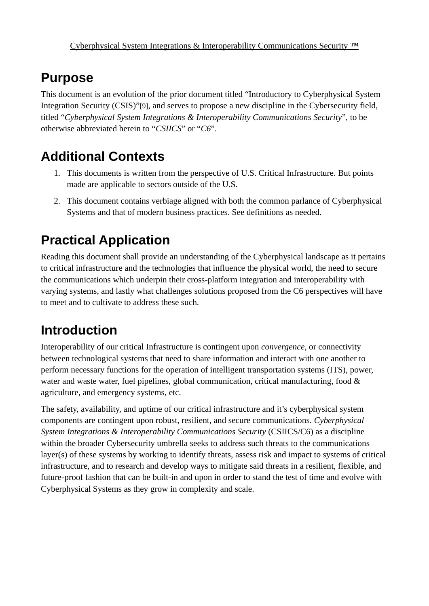# <span id="page-5-3"></span>**Purpose**

This document is an evolution of the prior document titled "Introductory to Cyberphysical System Integration Security (CSIS)"[9], and serves to propose a new discipline in the Cybersecurity field, titled "*Cyberphysical System Integrations & Interoperability Communications Security*", to be otherwise abbreviated herein to "*CSIICS*" or "*C6*".

# <span id="page-5-2"></span>**Additional Contexts**

- 1. This documents is written from the perspective of U.S. Critical Infrastructure. But points made are applicable to sectors outside of the U.S.
- 2. This document contains verbiage aligned with both the common parlance of Cyberphysical Systems and that of modern business practices. See definitions as needed.

# <span id="page-5-1"></span>**Practical Application**

Reading this document shall provide an understanding of the Cyberphysical landscape as it pertains to critical infrastructure and the technologies that influence the physical world, the need to secure the communications which underpin their cross-platform integration and interoperability with varying systems, and lastly what challenges solutions proposed from the C6 perspectives will have to meet and to cultivate to address these such.

# <span id="page-5-0"></span>**Introduction**

Interoperability of our critical Infrastructure is contingent upon *convergence*, or connectivity between technological systems that need to share information and interact with one another to perform necessary functions for the operation of intelligent transportation systems (ITS), power, water and waste water, fuel pipelines, global communication, critical manufacturing, food & agriculture, and emergency systems, etc.

The safety, availability, and uptime of our critical infrastructure and it's cyberphysical system components are contingent upon robust, resilient, and secure communications. *Cyberphysical System Integrations & Interoperability Communications Security* (CSIICS/C6) as a discipline within the broader Cybersecurity umbrella seeks to address such threats to the communications layer(s) of these systems by working to identify threats, assess risk and impact to systems of critical infrastructure, and to research and develop ways to mitigate said threats in a resilient, flexible, and future-proof fashion that can be built-in and upon in order to stand the test of time and evolve with Cyberphysical Systems as they grow in complexity and scale.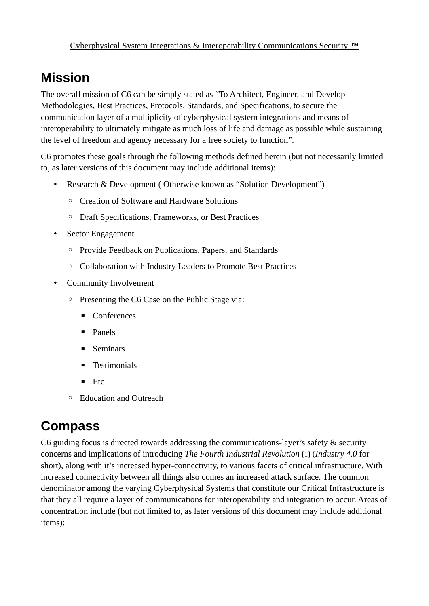# <span id="page-6-1"></span>**Mission**

The overall mission of C6 can be simply stated as "To Architect, Engineer, and Develop Methodologies, Best Practices, Protocols, Standards, and Specifications, to secure the communication layer of a multiplicity of cyberphysical system integrations and means of interoperability to ultimately mitigate as much loss of life and damage as possible while sustaining the level of freedom and agency necessary for a free society to function".

C6 promotes these goals through the following methods defined herein (but not necessarily limited to, as later versions of this document may include additional items):

- Research & Development (Otherwise known as "Solution Development")
	- Creation of Software and Hardware Solutions
	- Draft Specifications, Frameworks, or Best Practices
- Sector Engagement
	- Provide Feedback on Publications, Papers, and Standards
	- Collaboration with Industry Leaders to Promote Best Practices
- Community Involvement
	- Presenting the C6 Case on the Public Stage via:
		- Conferences
		- Panels
		- Seminars
		- Testimonials
		- $\blacksquare$  Etc
	- Education and Outreach

## <span id="page-6-0"></span>**Compass**

C6 guiding focus is directed towards addressing the communications-layer's safety & security concerns and implications of introducing *The Fourth Industrial Revolution* [1] (*Industry 4.0* for short), along with it's increased hyper-connectivity, to various facets of critical infrastructure. With increased connectivity between all things also comes an increased attack surface. The common denominator among the varying Cyberphysical Systems that constitute our Critical Infrastructure is that they all require a layer of communications for interoperability and integration to occur. Areas of concentration include (but not limited to, as later versions of this document may include additional items):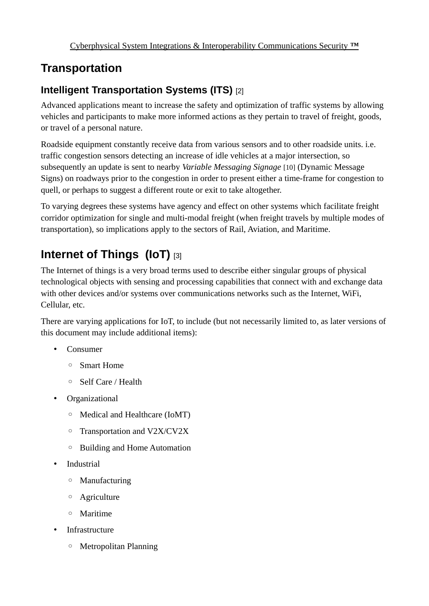### <span id="page-7-2"></span>**Transportation**

### <span id="page-7-1"></span>**Intelligent Transportation Systems (ITS)** [2]

Advanced applications meant to increase the safety and optimization of traffic systems by allowing vehicles and participants to make more informed actions as they pertain to travel of freight, goods, or travel of a personal nature.

Roadside equipment constantly receive data from various sensors and to other roadside units. i.e. traffic congestion sensors detecting an increase of idle vehicles at a major intersection, so subsequently an update is sent to nearby *Variable Messaging Signage* [10] (Dynamic Message Signs) on roadways prior to the congestion in order to present either a time-frame for congestion to quell, or perhaps to suggest a different route or exit to take altogether.

To varying degrees these systems have agency and effect on other systems which facilitate freight corridor optimization for single and multi-modal freight (when freight travels by multiple modes of transportation), so implications apply to the sectors of Rail, Aviation, and Maritime.

# <span id="page-7-0"></span>**Internet of Things (IoT)** [3]

The Internet of things is a very broad terms used to describe either singular groups of physical technological objects with sensing and processing capabilities that connect with and exchange data with other devices and/or systems over communications networks such as the Internet, WiFi, Cellular, etc.

There are varying applications for IoT, to include (but not necessarily limited to, as later versions of this document may include additional items):

- Consumer
	- Smart Home
	- Self Care / Health
- Organizational
	- Medical and Healthcare (IoMT)
	- Transportation and V2X/CV2X
	- Building and Home Automation
- Industrial
	- Manufacturing
	- Agriculture
	- Maritime
- Infrastructure
	- Metropolitan Planning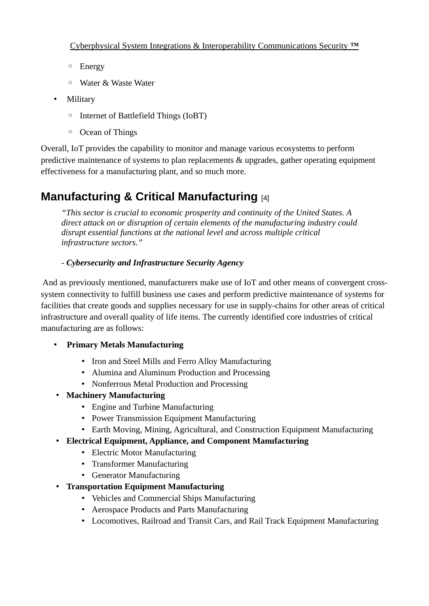- Energy
- Water & Waste Water
- Military
	- Internet of Battlefield Things (IoBT)
	- Ocean of Things

Overall, IoT provides the capability to monitor and manage various ecosystems to perform predictive maintenance of systems to plan replacements & upgrades, gather operating equipment effectiveness for a manufacturing plant, and so much more.

### <span id="page-8-0"></span>**Manufacturing & Critical Manufacturing** [4]

*"This sector is crucial to economic prosperity and continuity of the United States. A direct attack on or disruption of certain elements of the manufacturing industry could disrupt essential functions at the national level and across multiple critical infrastructure sectors."*

#### *- Cybersecurity and Infrastructure Security Agency*

 And as previously mentioned, manufacturers make use of IoT and other means of convergent crosssystem connectivity to fulfill business use cases and perform predictive maintenance of systems for facilities that create goods and supplies necessary for use in supply-chains for other areas of critical infrastructure and overall quality of life items. The currently identified core industries of critical manufacturing are as follows:

#### • **Primary Metals Manufacturing**

- Iron and Steel Mills and Ferro Alloy Manufacturing
- Alumina and Aluminum Production and Processing
- Nonferrous Metal Production and Processing
- **Machinery Manufacturing**
	- Engine and Turbine Manufacturing
	- Power Transmission Equipment Manufacturing
	- Earth Moving, Mining, Agricultural, and Construction Equipment Manufacturing
- **Electrical Equipment, Appliance, and Component Manufacturing**
	- Electric Motor Manufacturing
	- Transformer Manufacturing
	- Generator Manufacturing
- **Transportation Equipment Manufacturing**
	- Vehicles and Commercial Ships Manufacturing
	- Aerospace Products and Parts Manufacturing
	- Locomotives, Railroad and Transit Cars, and Rail Track Equipment Manufacturing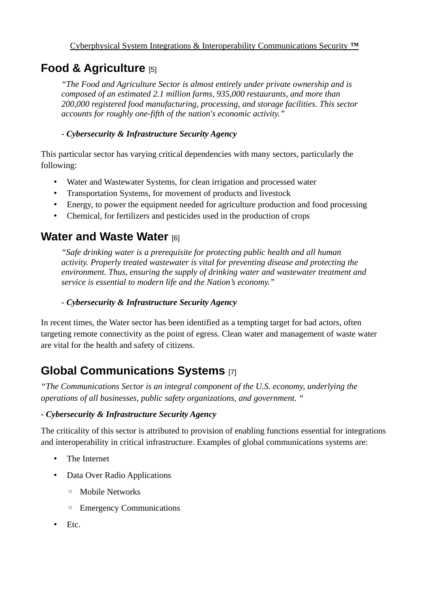### <span id="page-9-2"></span>**Food & Agriculture** [5]

*"The Food and Agriculture Sector is almost entirely under private ownership and is composed of an estimated 2.1 million farms, 935,000 restaurants, and more than 200,000 registered food manufacturing, processing, and storage facilities. This sector accounts for roughly one-fifth of the nation's economic activity."*

#### *- Cybersecurity & Infrastructure Security Agency*

This particular sector has varying critical dependencies with many sectors, particularly the following:

- Water and Wastewater Systems, for clean irrigation and processed water
- Transportation Systems, for movement of products and livestock
- Energy, to power the equipment needed for agriculture production and food processing
- Chemical, for fertilizers and pesticides used in the production of crops

### <span id="page-9-1"></span>**Water and Waste Water** [6]

*"Safe drinking water is a prerequisite for protecting public health and all human activity. Properly treated wastewater is vital for preventing disease and protecting the environment. Thus, ensuring the supply of drinking water and wastewater treatment and service is essential to modern life and the Nation's economy."*

#### *- Cybersecurity & Infrastructure Security Agency*

In recent times, the Water sector has been identified as a tempting target for bad actors, often targeting remote connectivity as the point of egress. Clean water and management of waste water are vital for the health and safety of citizens.

### <span id="page-9-0"></span>**Global Communications Systems** [7]

*"The Communications Sector is an integral component of the U.S. economy, underlying the operations of all businesses, public safety organizations, and government. "*

#### *- Cybersecurity & Infrastructure Security Agency*

The criticality of this sector is attributed to provision of enabling functions essential for integrations and interoperability in critical infrastructure. Examples of global communications systems are:

- The Internet
- Data Over Radio Applications
	- Mobile Networks
	- Emergency Communications
- Etc.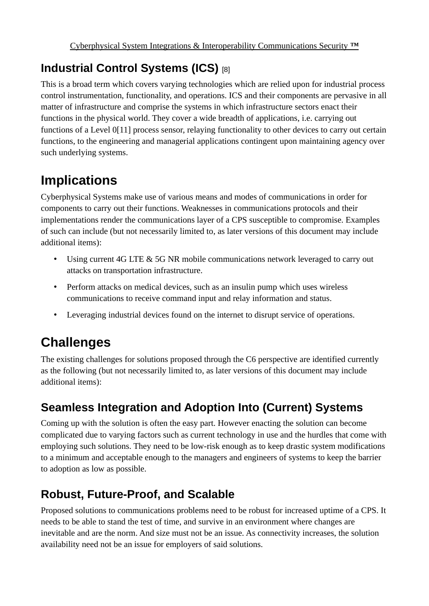## <span id="page-10-4"></span>**Industrial Control Systems (ICS)** [8]

This is a broad term which covers varying technologies which are relied upon for industrial process control instrumentation, functionality, and operations. ICS and their components are pervasive in all matter of infrastructure and comprise the systems in which infrastructure sectors enact their functions in the physical world. They cover a wide breadth of applications, i.e. carrying out functions of a Level 0[11] process sensor, relaying functionality to other devices to carry out certain functions, to the engineering and managerial applications contingent upon maintaining agency over such underlying systems.

# <span id="page-10-3"></span>**Implications**

Cyberphysical Systems make use of various means and modes of communications in order for components to carry out their functions. Weaknesses in communications protocols and their implementations render the communications layer of a CPS susceptible to compromise. Examples of such can include (but not necessarily limited to, as later versions of this document may include additional items):

- Using current 4G LTE & 5G NR mobile communications network leveraged to carry out attacks on transportation infrastructure.
- Perform attacks on medical devices, such as an insulin pump which uses wireless communications to receive command input and relay information and status.
- Leveraging industrial devices found on the internet to disrupt service of operations.

# <span id="page-10-2"></span>**Challenges**

The existing challenges for solutions proposed through the C6 perspective are identified currently as the following (but not necessarily limited to, as later versions of this document may include additional items):

### <span id="page-10-1"></span>**Seamless Integration and Adoption Into (Current) Systems**

Coming up with the solution is often the easy part. However enacting the solution can become complicated due to varying factors such as current technology in use and the hurdles that come with employing such solutions. They need to be low-risk enough as to keep drastic system modifications to a minimum and acceptable enough to the managers and engineers of systems to keep the barrier to adoption as low as possible.

### <span id="page-10-0"></span>**Robust, Future-Proof, and Scalable**

Proposed solutions to communications problems need to be robust for increased uptime of a CPS. It needs to be able to stand the test of time, and survive in an environment where changes are inevitable and are the norm. And size must not be an issue. As connectivity increases, the solution availability need not be an issue for employers of said solutions.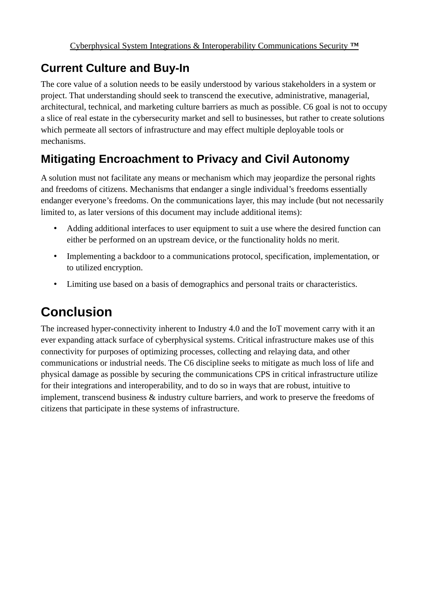### <span id="page-11-1"></span>**Current Culture and Buy-In**

The core value of a solution needs to be easily understood by various stakeholders in a system or project. That understanding should seek to transcend the executive, administrative, managerial, architectural, technical, and marketing culture barriers as much as possible. C6 goal is not to occupy a slice of real estate in the cybersecurity market and sell to businesses, but rather to create solutions which permeate all sectors of infrastructure and may effect multiple deployable tools or mechanisms.

### **Mitigating Encroachment to Privacy and Civil Autonomy**

A solution must not facilitate any means or mechanism which may jeopardize the personal rights and freedoms of citizens. Mechanisms that endanger a single individual's freedoms essentially endanger everyone's freedoms. On the communications layer, this may include (but not necessarily limited to, as later versions of this document may include additional items):

- Adding additional interfaces to user equipment to suit a use where the desired function can either be performed on an upstream device, or the functionality holds no merit.
- Implementing a backdoor to a communications protocol, specification, implementation, or to utilized encryption.
- Limiting use based on a basis of demographics and personal traits or characteristics.

# <span id="page-11-0"></span>**Conclusion**

The increased hyper-connectivity inherent to Industry 4.0 and the IoT movement carry with it an ever expanding attack surface of cyberphysical systems. Critical infrastructure makes use of this connectivity for purposes of optimizing processes, collecting and relaying data, and other communications or industrial needs. The C6 discipline seeks to mitigate as much loss of life and physical damage as possible by securing the communications CPS in critical infrastructure utilize for their integrations and interoperability, and to do so in ways that are robust, intuitive to implement, transcend business & industry culture barriers, and work to preserve the freedoms of citizens that participate in these systems of infrastructure.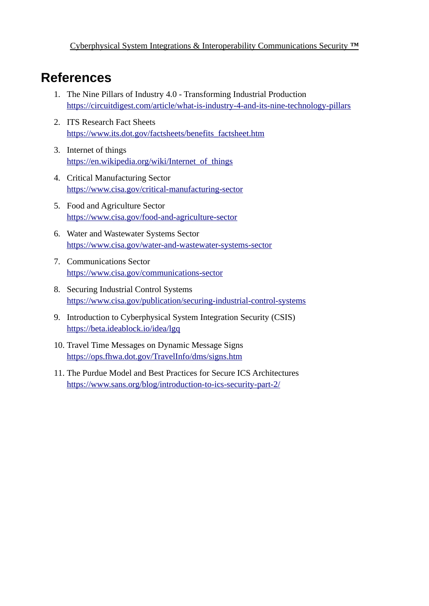### <span id="page-12-0"></span>**References**

- 1. The Nine Pillars of Industry 4.0 Transforming Industrial Production https://circuitdigest.com/article/what-is-industry-4-and-its-nine-technology-pillars
- 2. ITS Research Fact Sheets [https://www.its.dot.gov/factsheets/benefits\\_factsheet.htm](https://www.its.dot.gov/factsheets/benefits_factsheet.htm)
- 3. Internet of things [https://en.wikipedia.org/wiki/Internet\\_of\\_things](https://en.wikipedia.org/wiki/Internet_of_things)
- 4. Critical Manufacturing Sector <https://www.cisa.gov/critical-manufacturing-sector>
- 5. Food and Agriculture Sector <https://www.cisa.gov/food-and-agriculture-sector>
- 6. Water and Wastewater Systems Sector <https://www.cisa.gov/water-and-wastewater-systems-sector>
- 7. Communications Sector <https://www.cisa.gov/communications-sector>
- 8. Securing Industrial Control Systems <https://www.cisa.gov/publication/securing-industrial-control-systems>
- 9. Introduction to Cyberphysical System Integration Security (CSIS) <https://beta.ideablock.io/idea/lgq>
- 10. Travel Time Messages on Dynamic Message Signs <https://ops.fhwa.dot.gov/TravelInfo/dms/signs.htm>
- 11. The Purdue Model and Best Practices for Secure ICS Architectures <https://www.sans.org/blog/introduction-to-ics-security-part-2/>